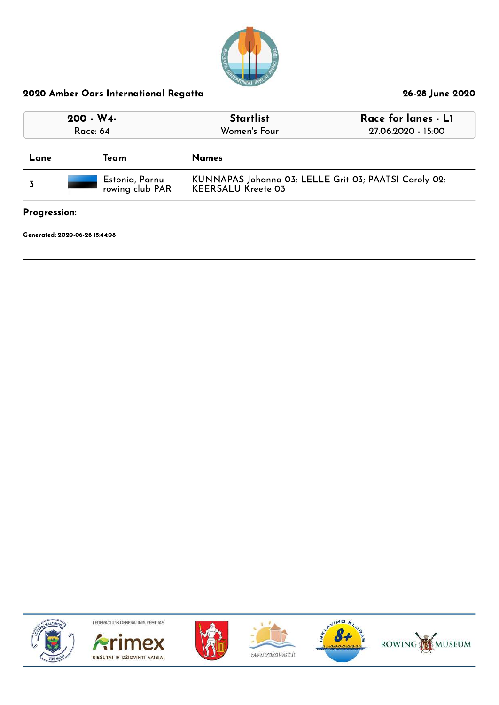

| $200 - W4$<br>Race: 64 |                                   | <b>Startlist</b><br>Women's Four                                                   | Race for lanes - L1<br>27.06.2020 - 15:00 |
|------------------------|-----------------------------------|------------------------------------------------------------------------------------|-------------------------------------------|
| Lane                   | Team                              | <b>Names</b>                                                                       |                                           |
|                        | Estonia, Parnu<br>rowing club PAR | KUNNAPAS Johanna 03; LELLE Grit 03; PAATSI Caroly 02;<br><b>KEERSALU Kreete 03</b> |                                           |

### Progression:

Generated: 2020-06-26 15:44:08











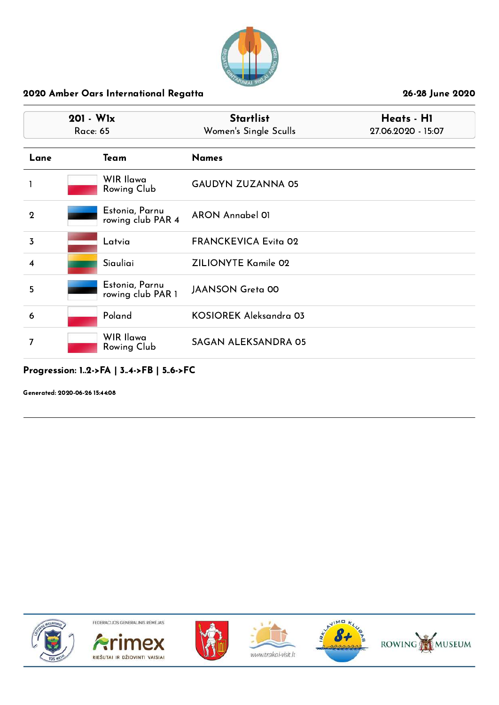

|                | $201 - W1x$<br><b>Race: 65</b> |                                     | <b>Startlist</b><br>Women's Single Sculls | Heats - H1<br>27.06.2020 - 15:07 |
|----------------|--------------------------------|-------------------------------------|-------------------------------------------|----------------------------------|
| Lane           |                                | Team                                | <b>Names</b>                              |                                  |
|                |                                | WIR Ilawa<br>Rowing Club            | <b>GAUDYN ZUZANNA 05</b>                  |                                  |
| $\mathbf{2}$   |                                | Estonia, Parnu<br>rowing club PAR 4 | ARON Annabel 01                           |                                  |
| $\overline{3}$ |                                | Latvia                              | <b>FRANCKEVICA Evita 02</b>               |                                  |
| 4              |                                | Siauliai                            | <b>ZILIONYTE Kamile 02</b>                |                                  |
| 5              |                                | Estonia, Parnu<br>rowing club PAR 1 | <b>JAANSON Greta 00</b>                   |                                  |
| 6              |                                | Poland                              | KOSIOREK Aleksandra 03                    |                                  |
| 7              |                                | <b>WIR Ilawa</b><br>Rowing Club     | <b>SAGAN ALEKSANDRA 05</b>                |                                  |

# Progression: 1..2->FA | 3..4->FB | 5..6->FC

Generated: 2020-06-26 15:44:08











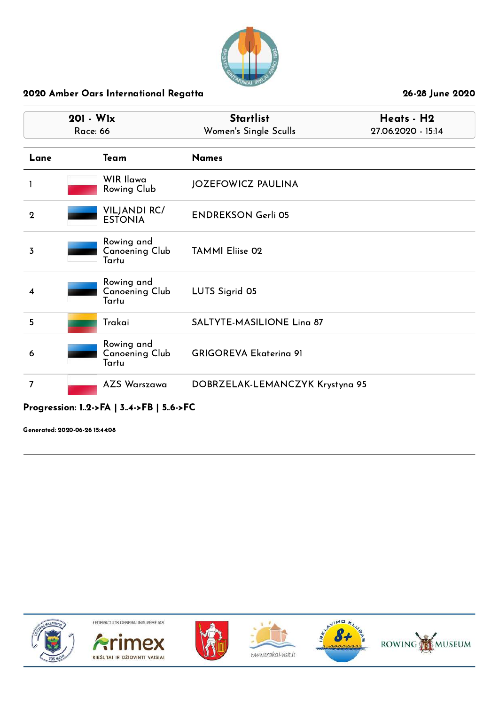

| $201 - W1x$<br><b>Race: 66</b> |                                              | <b>Startlist</b><br>Women's Single Sculls | Heats - H2<br>27.06.2020 - 15:14 |
|--------------------------------|----------------------------------------------|-------------------------------------------|----------------------------------|
| Lane                           | Team                                         | <b>Names</b>                              |                                  |
|                                | WIR Ilawa<br>Rowing Club                     | <b>JOZEFOWICZ PAULINA</b>                 |                                  |
| $\mathbf 2$                    | <b>VILJANDI RC/</b><br><b>ESTONIA</b>        | <b>ENDREKSON Gerli 05</b>                 |                                  |
| 3                              | Rowing and<br>Canoening Club<br>Tartu        | <b>TAMMI Eliise 02</b>                    |                                  |
| 4                              | Rowing and<br><b>Canoening Club</b><br>Tartu | LUTS Sigrid 05                            |                                  |
| 5                              | Trakai                                       | <b>SALTYTE-MASILIONE Ling 87</b>          |                                  |
| 6                              | Rowing and<br>Canoening Club<br>Tartu        | <b>GRIGOREVA Ekaterina 91</b>             |                                  |
| 7                              | <b>AZS Warszawa</b>                          | DOBRZELAK-LEMANCZYK Krystyna 95           |                                  |

# Progression: 1..2->FA | 3..4->FB | 5..6->FC

Generated: 2020-06-26 15:44:08











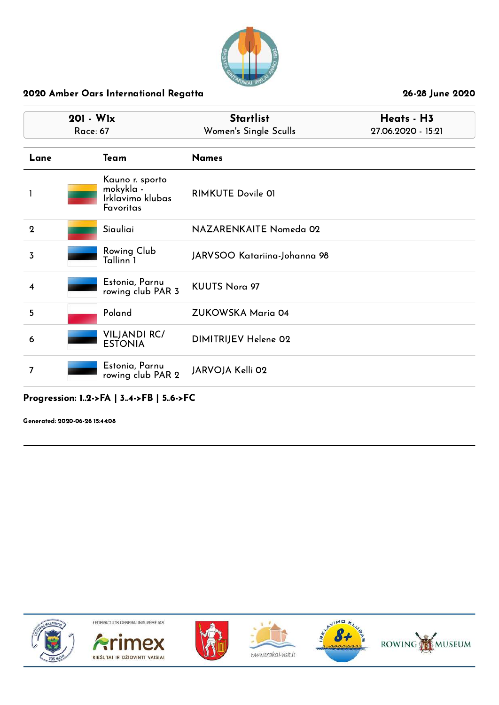

| $201 - W1x$<br><b>Race: 67</b> |                                                               | <b>Startlist</b><br>Women's Single Sculls | Heats - H3<br>27.06.2020 - 15:21 |  |
|--------------------------------|---------------------------------------------------------------|-------------------------------------------|----------------------------------|--|
| Lane                           | Team                                                          | <b>Names</b>                              |                                  |  |
| ı                              | Kauno r. sporto<br>mokykla -<br>Irklavimo klubas<br>Favoritas | <b>RIMKUTE Dovile 01</b>                  |                                  |  |
| $\overline{2}$                 | Siauliai                                                      | NAZARENKAITE Nomeda 02                    |                                  |  |
| 3                              | Rowing Club<br>Tallinn 1                                      | JARVSOO Katariina-Johanna 98              |                                  |  |
| 4                              | Estonia, Parnu<br>rowing club PAR 3                           | <b>KUUTS Nora 97</b>                      |                                  |  |
| 5                              | Poland                                                        | ZUKOWSKA Maria 04                         |                                  |  |
| 6                              | <b>VILJANDI RC/</b><br><b>ESTONIA</b>                         | DIMITRIJEV Helene 02                      |                                  |  |
| 7                              | Estonia, Parnu<br>rowing club PAR 2                           | JARVOJA Kelli 02                          |                                  |  |

## Progression: 1..2->FA | 3..4->FB | 5..6->FC

Generated: 2020-06-26 15:44:08











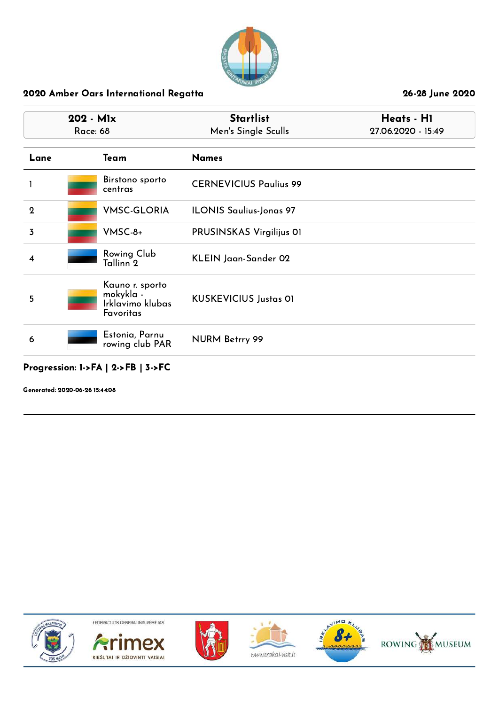

| 202 - Mlx<br><b>Race: 68</b> |                                                               | <b>Startlist</b><br>Men's Single Sculls | Heats - H1<br>27.06.2020 - 15:49 |  |
|------------------------------|---------------------------------------------------------------|-----------------------------------------|----------------------------------|--|
| Lane                         | Team                                                          | <b>Names</b>                            |                                  |  |
|                              | Birstono sporto<br>centras                                    | <b>CERNEVICIUS Paulius 99</b>           |                                  |  |
| $\mathbf{2}$                 | <b>VMSC-GLORIA</b>                                            | <b>ILONIS Saulius-Jonas 97</b>          |                                  |  |
| 3                            | VMSC-8+                                                       | PRUSINSKAS Virgilijus OI                |                                  |  |
| 4                            | Rowing Club<br>Tallinn 2                                      | KLEIN Jaan-Sander 02                    |                                  |  |
| 5                            | Kauno r. sporto<br>mokykla -<br>Irklavimo klubas<br>Favoritas | <b>KUSKEVICIUS Justas 01</b>            |                                  |  |
| 6                            | Estonia, Parnu<br>rowing club PAR                             | NURM Betrry 99                          |                                  |  |
|                              | Progression: 1->FA   2->FB   3->FC                            |                                         |                                  |  |

Generated: 2020-06-26 15:44:08











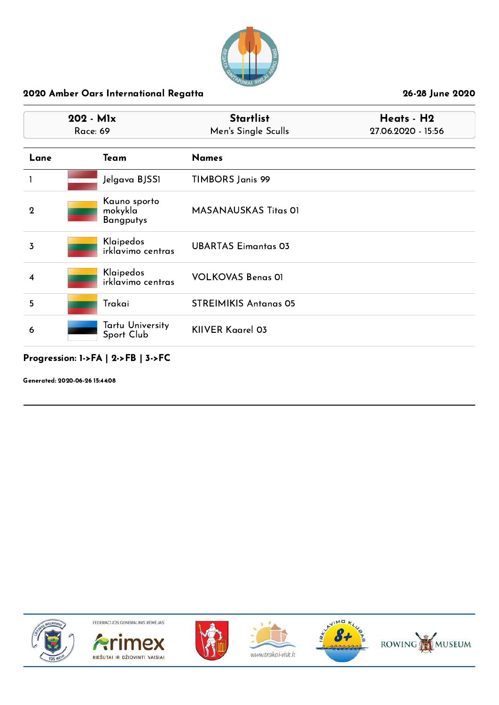

|                | 202 - Mlx<br><b>Race: 69</b>                | <b>Startlist</b><br>Men's Single Sculls | Heats - H2<br>27.06.2020 - 15:56 |
|----------------|---------------------------------------------|-----------------------------------------|----------------------------------|
| Lane           | Team                                        | <b>Names</b>                            |                                  |
|                | Jelgava BJSS1                               | <b>TIMBORS Janis 99</b>                 |                                  |
| $\overline{2}$ | Kauno sporto<br>mokykla<br><b>Bangputys</b> | <b>MASANAUSKAS Titas OI</b>             |                                  |
| 3              | Klaipedos<br>irklavimo centras              | <b>UBARTAS Eimantas 03</b>              |                                  |
| 4              | Klaipedos<br>irklavimo centras              | <b>VOLKOVAS Benas 01</b>                |                                  |
| 5              | Trakai                                      | <b>STREIMIKIS Antanas 05</b>            |                                  |
| 6              | <b>Tartu University</b><br>Sport Club       | <b>KIIVER Kaarel 03</b>                 |                                  |

# Progression: 1->FA | 2->FB | 3->FC

Generated: 2020-06-26 15:44:08











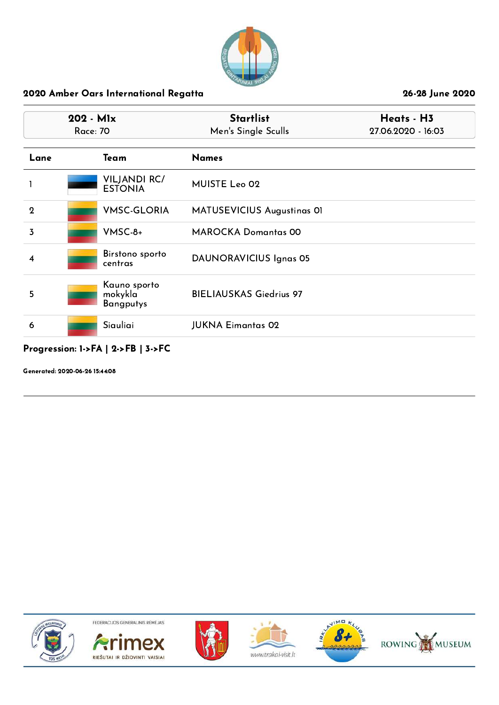

| 202 - Mlx<br><b>Race: 70</b> |                                             | <b>Startlist</b><br>Men's Single Sculls | Heats - H3<br>27.06.2020 - 16:03 |  |
|------------------------------|---------------------------------------------|-----------------------------------------|----------------------------------|--|
| Lane                         | Team                                        | <b>Names</b>                            |                                  |  |
|                              | <b>VILJANDI RC/</b><br><b>ESTONIA</b>       | MUISTE Leo 02                           |                                  |  |
| $\mathbf{2}$                 | <b>VMSC-GLORIA</b>                          | MATUSEVICIUS Augustinas 01              |                                  |  |
| 3                            | $V$ MSC-8+                                  | <b>MAROCKA Domantas 00</b>              |                                  |  |
| 4                            | Birstono sporto<br>centras                  | DAUNORAVICIUS Ignas 05                  |                                  |  |
| 5                            | Kauno sporto<br>mokykla<br><b>Bangputys</b> | <b>BIELIAUSKAS Giedrius 97</b>          |                                  |  |
| 6                            | Siauliai                                    | <b>JUKNA Eimantas 02</b>                |                                  |  |

Generated: 2020-06-26 15:44:08











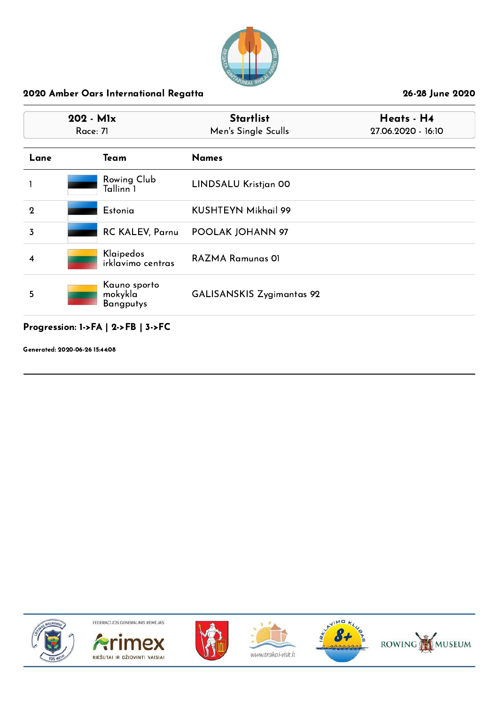

| 202 - Mlx<br>Race: 71 |                                             | <b>Startlist</b><br>Men's Single Sculls | Heats - H4<br>27.06.2020 - 16:10 |
|-----------------------|---------------------------------------------|-----------------------------------------|----------------------------------|
| Lane                  | Team                                        | <b>Names</b>                            |                                  |
|                       | Rowing Club<br>Tallinn 1                    | LINDSALU Kristjan 00                    |                                  |
| $\mathbf 2$           | Estonia                                     | KUSHTEYN Mikhail 99                     |                                  |
| $\overline{3}$        | RC KALEV, Parnu                             | POOLAK JOHANN 97                        |                                  |
| 4                     | Klaipedos<br>irklavimo centras              | <b>RAZMA Ramunas OI</b>                 |                                  |
| 5                     | Kauno sporto<br>mokykla<br><b>Bangputys</b> | <b>GALISANSKIS Zygimantas 92</b>        |                                  |

Progression: 1->FA | 2->FB | 3->FC

Generated: 2020-06-26 15:44:08











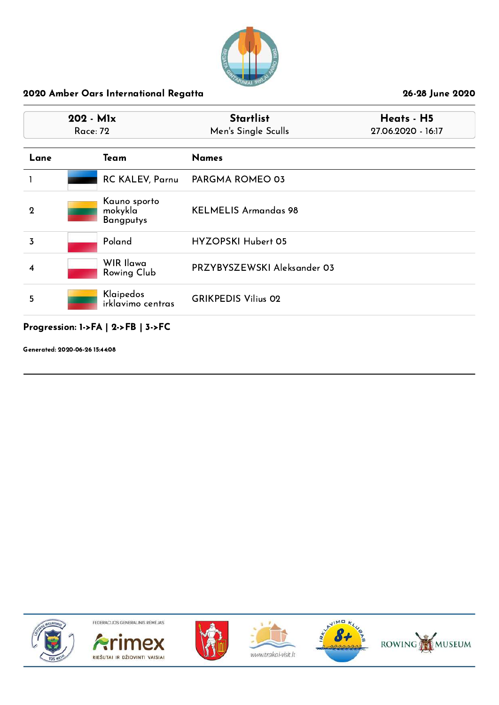

| 202 - Mlx<br>Race: 72 |                                             | <b>Startlist</b><br>Men's Single Sculls | Heats - H5<br>27.06.2020 - 16:17 |
|-----------------------|---------------------------------------------|-----------------------------------------|----------------------------------|
| Lane                  | Team                                        | <b>Names</b>                            |                                  |
|                       | <b>RC KALEV, Parnu</b>                      | PARGMA ROMEO 03                         |                                  |
| $\mathbf 2$           | Kauno sporto<br>mokykla<br><b>Bangputys</b> | <b>KELMELIS Armandas 98</b>             |                                  |
| 3                     | Poland                                      | <b>HYZOPSKI Hubert 05</b>               |                                  |
| 4                     | WIR Ilawa<br><b>Rowing Club</b>             | PRZYBYSZEWSKI Aleksander 03             |                                  |
| 5                     | Klaipedos<br>irklavimo centras              | <b>GRIKPEDIS Vilius 02</b>              |                                  |

# Progression: 1->FA | 2->FB | 3->FC

Generated: 2020-06-26 15:44:08











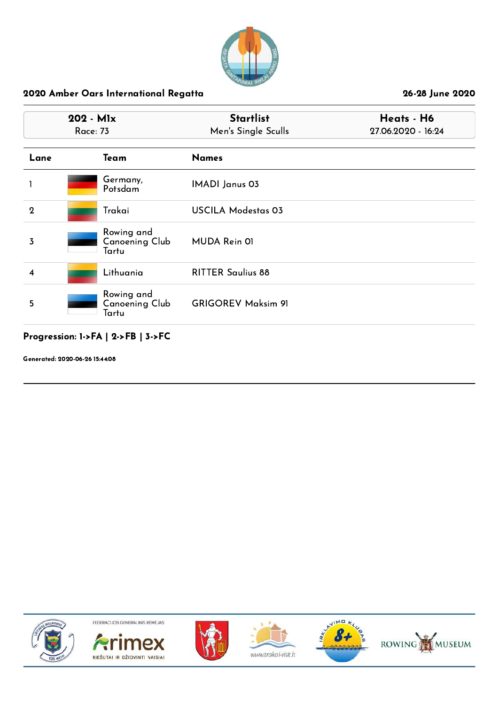

| 202 - Mlx<br><b>Race: 73</b> |                                              | <b>Startlist</b><br>Men's Single Sculls | Heats - H6<br>27.06.2020 - 16:24 |
|------------------------------|----------------------------------------------|-----------------------------------------|----------------------------------|
| Lane                         | Team                                         | <b>Names</b>                            |                                  |
|                              | Germany,<br>Potsdam                          | <b>IMADI Janus 03</b>                   |                                  |
| $\mathbf{2}$                 | Trakai                                       | <b>USCILA Modestas 03</b>               |                                  |
| $\overline{3}$               | Rowing and<br><b>Canoening Club</b><br>Tartu | MUDA Rein 01                            |                                  |
| 4                            | Lithuania                                    | <b>RITTER Saulius 88</b>                |                                  |
| 5                            | Rowing and<br><b>Canoening Club</b><br>Tartu | <b>GRIGOREV Maksim 91</b>               |                                  |

# Progression: 1->FA | 2->FB | 3->FC

Generated: 2020-06-26 15:44:08











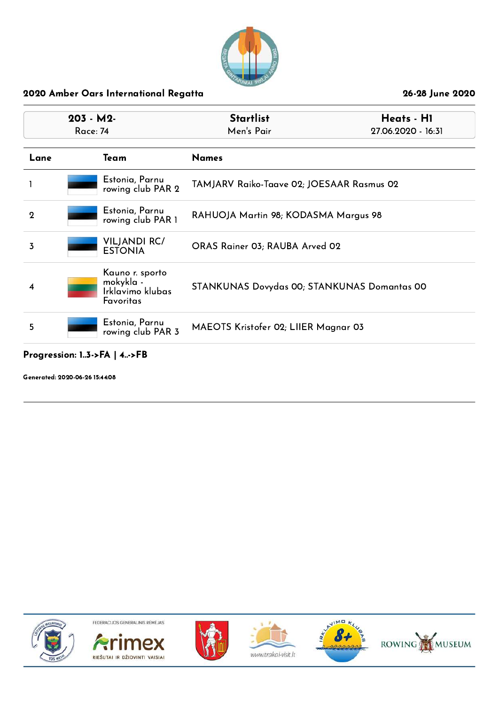

| $203 - M2$<br>Race: 74                   |                                                               | <b>Startlist</b><br>Men's Pair              | Heats - H1<br>27.06.2020 - 16:31 |  |
|------------------------------------------|---------------------------------------------------------------|---------------------------------------------|----------------------------------|--|
| Lane                                     | Team                                                          | <b>Names</b>                                |                                  |  |
|                                          | Estonia, Parnu<br>rowing club PAR 2                           | TAMJARV Raiko-Taave 02; JOESAAR Rasmus 02   |                                  |  |
| $\overline{2}$                           | Estonia, Parnu<br>rowing club PAR 1                           | RAHUOJA Martin 98; KODASMA Margus 98        |                                  |  |
| 3                                        | <b>VILJANDI RC/</b><br><b>ESTONIA</b>                         | ORAS Rainer 03; RAUBA Arved 02              |                                  |  |
| 4                                        | Kauno r. sporto<br>mokykla -<br>Irklavimo klubas<br>Favoritas | STANKUNAS Dovydas 00; STANKUNAS Domantas 00 |                                  |  |
| Estonia, Parnu<br>5<br>rowing club PAR 3 |                                                               | MAEOTS Kristofer 02; LIIER Magnar 03        |                                  |  |

## Progression: 1..3->FA | 4..->FB

Generated: 2020-06-26 15:44:08











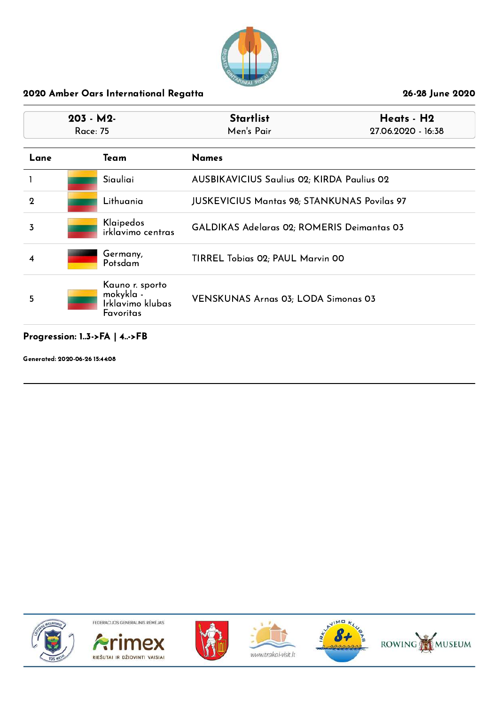

| $203 - M2$<br>Race: 75 |      |                                                               | <b>Startlist</b><br>Men's Pair                     | Heats - H2<br>27.06.2020 - 16:38 |
|------------------------|------|---------------------------------------------------------------|----------------------------------------------------|----------------------------------|
| Lane                   | Team |                                                               | <b>Names</b>                                       |                                  |
|                        |      | Siauliai                                                      | <b>AUSBIKAVICIUS Saulius 02; KIRDA Paulius 02</b>  |                                  |
| $\mathbf 2$            |      | Lithuania                                                     | <b>JUSKEVICIUS Mantas 98; STANKUNAS Povilas 97</b> |                                  |
| 3                      |      | Klaipedos<br>irklavimo centras                                | GALDIKAS Adelaras 02; ROMERIS Deimantas 03         |                                  |
| 4                      |      | Germany,<br>Potsdam                                           | TIRREL Tobias 02; PAUL Marvin 00                   |                                  |
| 5                      |      | Kauno r. sporto<br>mokykla -<br>Irklavimo klubas<br>Favoritas | <b>VENSKUNAS Arnas 03; LODA Simonas 03</b>         |                                  |

# Progression: 1..3->FA | 4..->FB

Generated: 2020-06-26 15:44:08











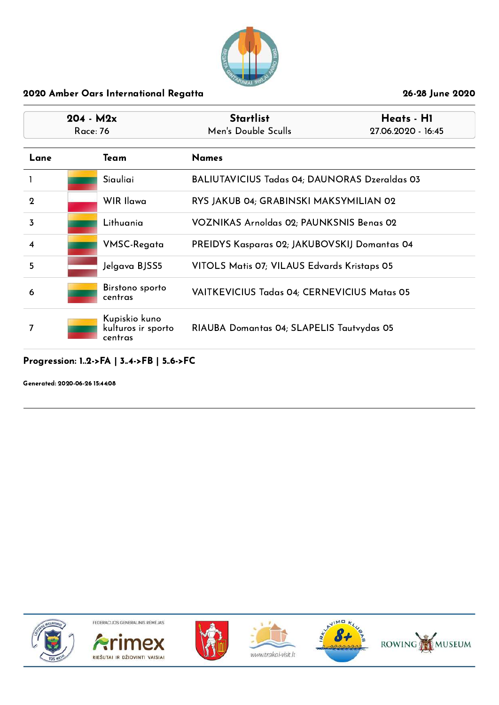

| $204 - M2x$<br>Race: 76 |  |                                                | <b>Startlist</b><br>Men's Double Sculls              | Heats - H1<br>27.06.2020 - 16:45 |
|-------------------------|--|------------------------------------------------|------------------------------------------------------|----------------------------------|
| Lane                    |  | Team                                           | <b>Names</b>                                         |                                  |
|                         |  | Siauliai                                       | <b>BALIUTAVICIUS Tadas 04; DAUNORAS Dzeraldas 03</b> |                                  |
| $\mathbf 2$             |  | WIR Ilawa                                      | RYS JAKUB 04; GRABINSKI MAKSYMILIAN 02               |                                  |
| $\overline{3}$          |  | Lithuania                                      | VOZNIKAS Arnoldas 02; PAUNKSNIS Benas 02             |                                  |
| 4                       |  | VMSC-Regata                                    | PREIDYS Kasparas 02; JAKUBOVSKIJ Domantas 04         |                                  |
| 5                       |  | Jelgava BJSS5                                  | VITOLS Matis 07; VILAUS Edvards Kristaps 05          |                                  |
| 6                       |  | Birstono sporto<br>centras                     | VAITKEVICIUS Tadas 04; CERNEVICIUS Matas 05          |                                  |
| 7                       |  | Kupiskio kuno<br>kulturos ir sporto<br>centras | RIAUBA Domantas 04; SLAPELIS Tautvydas 05            |                                  |

# Progression: 1..2->FA | 3..4->FB | 5..6->FC

Generated: 2020-06-26 15:44:08











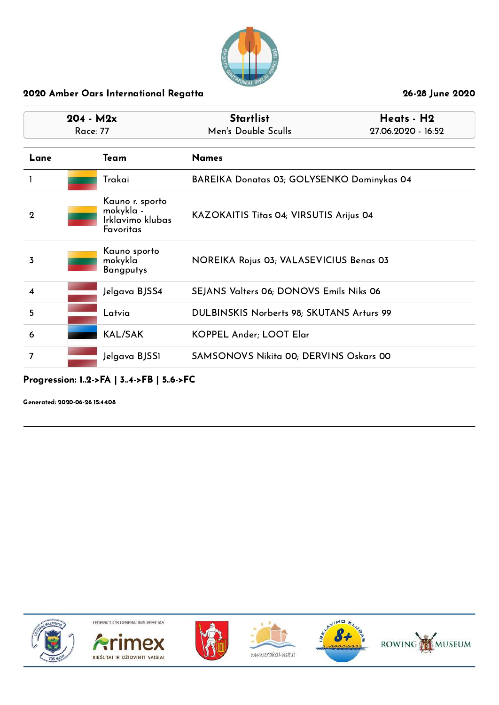

| $204 - M2x$<br>Race: 77 |  |                                                               | <b>Startlist</b><br>Heats - H2<br>Men's Double Sculls<br>27.06.2020 - 16:52 |  |
|-------------------------|--|---------------------------------------------------------------|-----------------------------------------------------------------------------|--|
| Lane                    |  | Team                                                          | <b>Names</b>                                                                |  |
|                         |  | Trakai                                                        | BAREIKA Donatas 03; GOLYSENKO Dominykas 04                                  |  |
| $\mathbf 2$             |  | Kauno r. sporto<br>mokykla -<br>Irklavimo klubas<br>Favoritas | KAZOKAITIS Titas 04; VIRSUTIS Arijus 04                                     |  |
| 3                       |  | Kauno sporto<br>mokykla<br>Bangputys                          | NOREIKA Rojus 03; VALASEVICIUS Benas 03                                     |  |
| $\overline{4}$          |  | Jelgava BJSS4                                                 | SEJANS Valters 06; DONOVS Emils Niks 06                                     |  |
| 5                       |  | Latvia                                                        | DULBINSKIS Norberts 98; SKUTANS Arturs 99                                   |  |
| 6                       |  | <b>KAL/SAK</b>                                                | KOPPEL Ander; LOOT Elar                                                     |  |
| 7                       |  | Jelgava BJSS1                                                 | SAMSONOVS Nikita 00; DERVINS Oskars 00                                      |  |

Progression: 1..2->FA | 3..4->FB | 5..6->FC

Generated: 2020-06-26 15:44:08











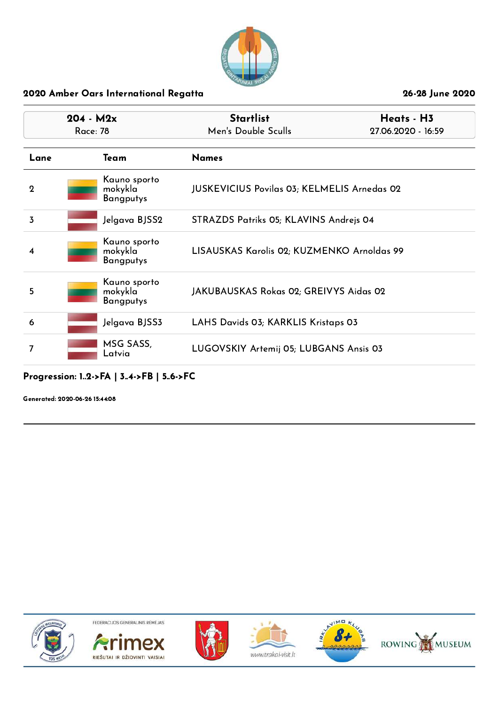

| $204 - M2x$<br>Race: 78 |                                             | <b>Startlist</b><br>Heats - H3<br>Men's Double Sculls<br>27.06.2020 - 16:59 |  |
|-------------------------|---------------------------------------------|-----------------------------------------------------------------------------|--|
| Lane                    | Team                                        | <b>Names</b>                                                                |  |
| $\mathbf 2$             | Kauno sporto<br>mokykla<br><b>Bangputys</b> | <b>JUSKEVICIUS Povilas 03; KELMELIS Arnedas 02</b>                          |  |
| 3                       | Jelgava BJSS2                               | STRAZDS Patriks 05; KLAVINS Andrejs 04                                      |  |
| 4                       | Kauno sporto<br>mokykla<br>Bangputys        | LISAUSKAS Karolis 02; KUZMENKO Arnoldas 99                                  |  |
| 5                       | Kauno sporto<br>mokykla<br><b>Bangputys</b> | JAKUBAUSKAS Rokas 02; GREIVYS Aidas 02                                      |  |
| 6                       | Jelgava BJSS3                               | LAHS Davids 03; KARKLIS Kristaps 03                                         |  |
|                         | MSG SASS,<br>Latvia                         | LUGOVSKIY Artemij 05; LUBGANS Ansis 03                                      |  |

### Progression: 1..2->FA | 3..4->FB | 5..6->FC

Generated: 2020-06-26 15:44:08











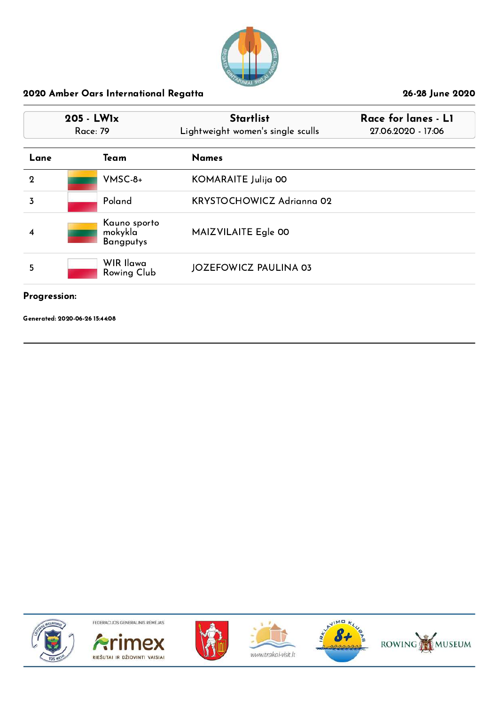

|             | 205 - LW1x<br>Race: 79                      | <b>Startlist</b><br>Lightweight women's single sculls | Race for lanes - L1<br>27.06.2020 - 17:06 |
|-------------|---------------------------------------------|-------------------------------------------------------|-------------------------------------------|
| Lane        | Team                                        | <b>Names</b>                                          |                                           |
| $\mathbf 2$ | $V$ MSC-8+                                  | KOMARAITE Julija 00                                   |                                           |
| 3           | Poland                                      | <b>KRYSTOCHOWICZ Adrianna 02</b>                      |                                           |
| 4           | Kauno sporto<br>mokykla<br><b>Bangputys</b> | MAIZVILAITE Egle 00                                   |                                           |
| 5           | WIR Ilawa<br>Rowing Club                    | <b>JOZEFOWICZ PAULINA 03</b>                          |                                           |

## Progression:

Generated: 2020-06-26 15:44:08











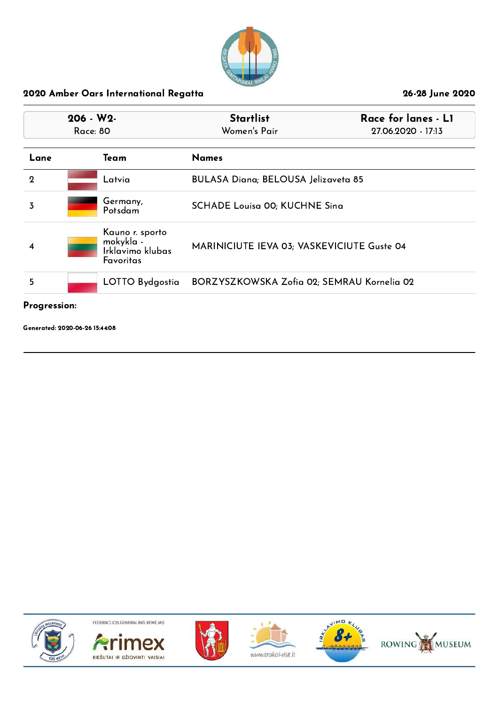

| $206 - W2$<br>Race: 80 |                                                               | <b>Startlist</b><br>Race for lanes - L1<br>Women's Pair<br>27.06.2020 - 17:13 |  |
|------------------------|---------------------------------------------------------------|-------------------------------------------------------------------------------|--|
| Lane                   | Team                                                          | <b>Names</b>                                                                  |  |
| $\mathbf 2$            | Latvia                                                        | BULASA Diana; BELOUSA Jelizaveta 85                                           |  |
| 3                      | Germany,<br>Potsdam                                           | <b>SCHADE Louisa 00; KUCHNE Sing</b>                                          |  |
| $\overline{4}$         | Kauno r. sporto<br>mokykla -<br>Irklavimo klubas<br>Favoritas | MARINICIUTE IEVA 03; VASKEVICIUTE Guste 04                                    |  |
| 5                      | LOTTO Bydgostia                                               | BORZYSZKOWSKA Zofia 02; SEMRAU Kornelia 02                                    |  |

### Progression:

Generated: 2020-06-26 15:44:08











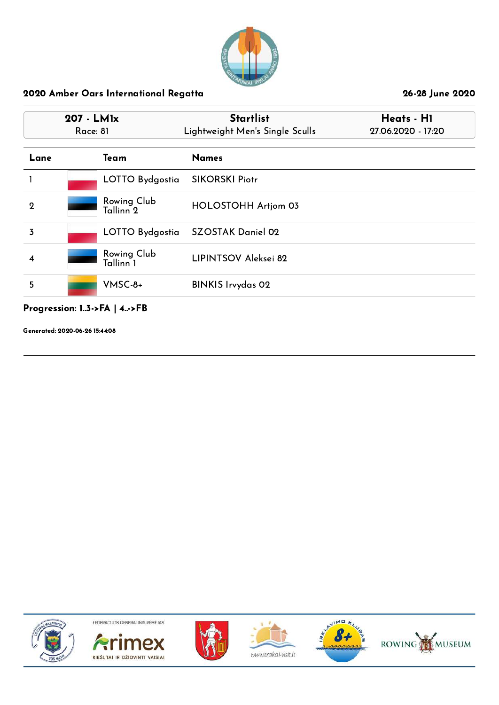

|              | 207 - LMIx<br>Race: 81              | <b>Startlist</b><br>Lightweight Men's Single Sculls | Heats - H1<br>27.06.2020 - 17:20 |  |
|--------------|-------------------------------------|-----------------------------------------------------|----------------------------------|--|
| Lane         | Team                                | <b>Names</b>                                        |                                  |  |
|              | LOTTO Bydgostia                     | <b>SIKORSKI Piotr</b>                               |                                  |  |
| $\mathbf{2}$ | Rowing Club<br>Tallinn <sup>7</sup> | HOLOSTOHH Artjom 03                                 |                                  |  |
| 3            | LOTTO Bydgostia                     | <b>SZOSTAK Daniel 02</b>                            |                                  |  |
| 4            | Rowing Club<br>Tallinn 1            | LIPINTSOV Aleksei 82                                |                                  |  |
| 5            | $V$ MSC-8+                          | <b>BINKIS Irvydas 02</b>                            |                                  |  |

## Progression: 1..3->FA | 4..->FB

Generated: 2020-06-26 15:44:08











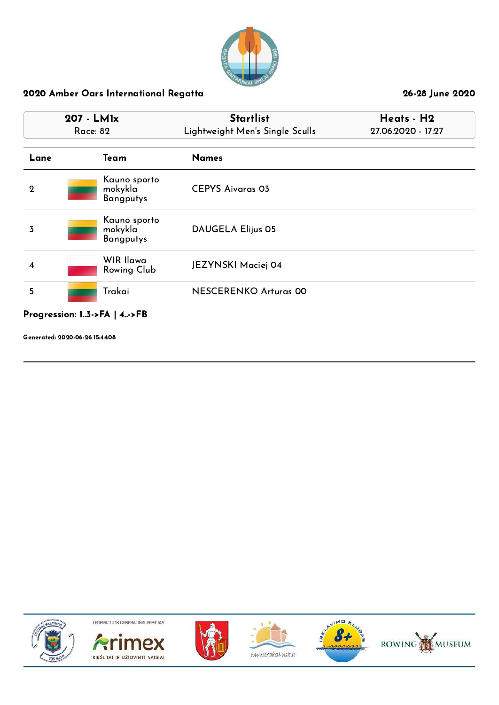

| 207 - LMIx<br>Race: 82 |                                             | <b>Startlist</b><br>Lightweight Men's Single Sculls | Heats - H2<br>27.06.2020 - 17:27 |  |
|------------------------|---------------------------------------------|-----------------------------------------------------|----------------------------------|--|
| Lane                   | Team                                        | <b>Names</b>                                        |                                  |  |
| $\overline{2}$         | Kauno sporto<br>mokykla<br><b>Bangputys</b> | <b>CEPYS Aivaras 03</b>                             |                                  |  |
| 3                      | Kauno sporto<br>mokykla<br><b>Bangputys</b> | <b>DAUGELA Elijus 05</b>                            |                                  |  |
| 4                      | WIR Ilawa<br>Rowing Club                    | JEZYNSKI Maciej 04                                  |                                  |  |
| 5                      | Trakai                                      | <b>NESCERENKO Arturas 00</b>                        |                                  |  |

# Progression: 1..3->FA | 4..->FB

Generated: 2020-06-26 15:44:08











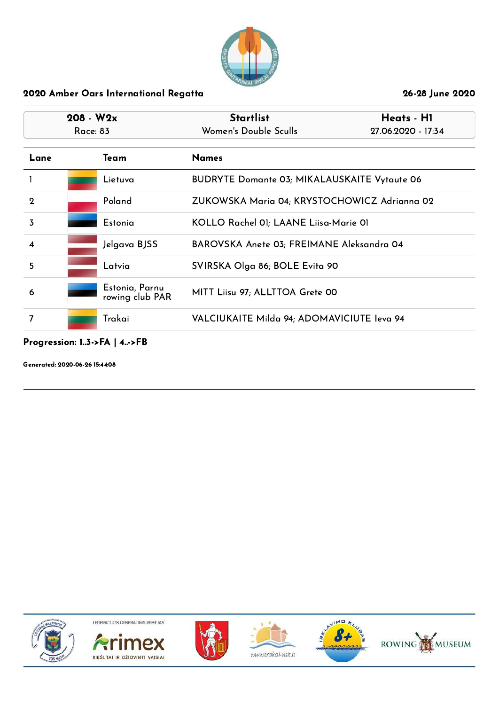

|             | $208 - W2x$<br>Race: 83 |                                   | <b>Startlist</b><br>Heats - H1<br>Women's Double Sculls<br>27.06.2020 - 17:34 |  |
|-------------|-------------------------|-----------------------------------|-------------------------------------------------------------------------------|--|
| Lane        |                         | Team                              | <b>Names</b>                                                                  |  |
|             |                         | Lietuva                           | <b>BUDRYTE Domante 03; MIKALAUSKAITE Vytaute 06</b>                           |  |
| $\mathbf 2$ |                         | Poland                            | ZUKOWSKA Maria 04; KRYSTOCHOWICZ Adrianna 02                                  |  |
| 3           |                         | Estonia                           | KOLLO Rachel 01; LAANE Liisa-Marie 01                                         |  |
| 4           |                         | Jelgava BJSS                      | BAROVSKA Anete 03; FREIMANE Aleksandra 04                                     |  |
| 5           |                         | Latvia                            | SVIRSKA Olga 86; BOLE Evita 90                                                |  |
| 6           |                         | Estonia, Parnu<br>rowing club PAR | MITT Liisu 97; ALLTTOA Grete 00                                               |  |
|             |                         | Trakai                            | VALCIUKAITE Milda 94; ADOMAVICIUTE leva 94                                    |  |

# Progression: 1..3->FA | 4..->FB

Generated: 2020-06-26 15:44:08











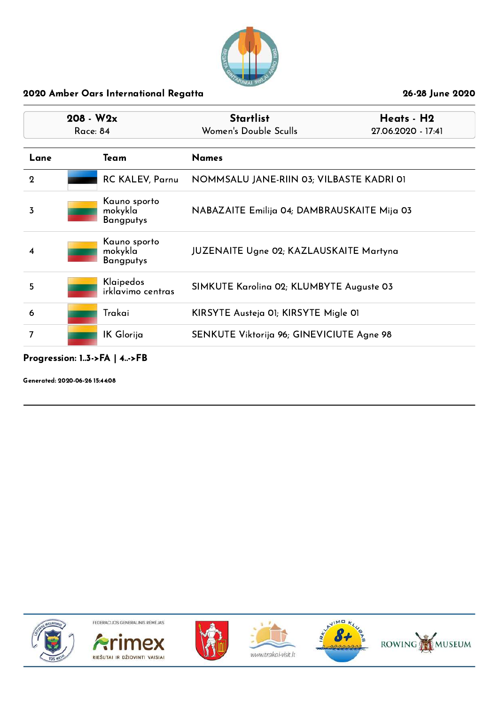

|             | $208 - W2x$<br>Race: 84 |                                             | <b>Startlist</b><br>Heats - H2<br>Women's Double Sculls<br>27.06.2020 - 17:41 |  |
|-------------|-------------------------|---------------------------------------------|-------------------------------------------------------------------------------|--|
| Lane        |                         | Team                                        | <b>Names</b>                                                                  |  |
| $\mathbf 2$ |                         | <b>RC KALEV, Parnu</b>                      | NOMMSALU JANE-RIIN 03; VILBASTE KADRI 01                                      |  |
| 3           |                         | Kauno sporto<br>mokykla<br><b>Bangputys</b> | NABAZAITE Emilija 04; DAMBRAUSKAITE Mija 03                                   |  |
| 4           |                         | Kauno sporto<br>mokykla<br><b>Bangputys</b> | <b>JUZENAITE Ugne 02; KAZLAUSKAITE Martyna</b>                                |  |
| 5           |                         | Klaipedos<br>irklavimo centras              | SIMKUTE Karolina 02; KLUMBYTE Auguste 03                                      |  |
| 6           |                         | Trakai                                      | KIRSYTE Austeja 01; KIRSYTE Migle 01                                          |  |
| 7           |                         | IK Glorija                                  | SENKUTE Viktorija 96; GINEVICIUTE Agne 98                                     |  |

### Progression: 1..3->FA | 4..->FB

Generated: 2020-06-26 15:44:08











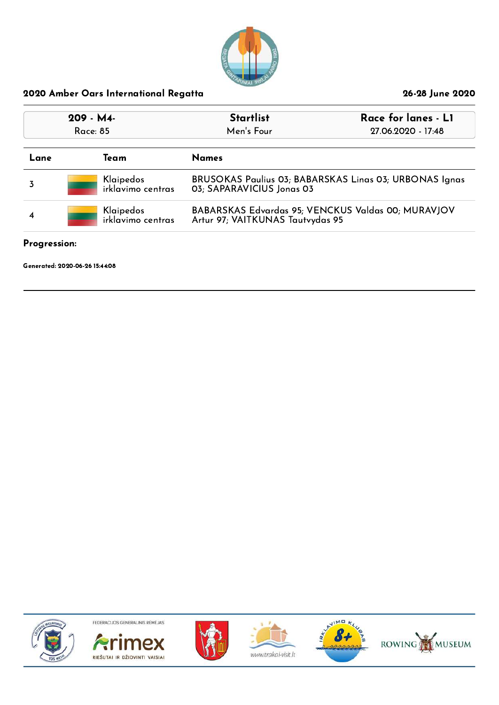

| 209 - M4-<br>Race: 85               |                                | Race for lanes - L1<br><b>Startlist</b><br>Men's Four<br>27.06.2020 - 17:48         |                                                    |
|-------------------------------------|--------------------------------|-------------------------------------------------------------------------------------|----------------------------------------------------|
| Lane                                | Team                           | <b>Names</b>                                                                        |                                                    |
|                                     | Klaipedos<br>irklavimo centras | BRUSOKAS Paulius 03; BABARSKAS Linas 03; URBONAS Ignas<br>03; SAPARAVICIUS Jonas 03 |                                                    |
| Klaipedos<br>irklavimo centras<br>4 |                                | Artur 97; VAITKUNAS Tautvydas 95                                                    | BABARSKAS Edvardas 95; VENCKUS Valdas 00; MURAVJOV |

# Progression:

Generated: 2020-06-26 15:44:08











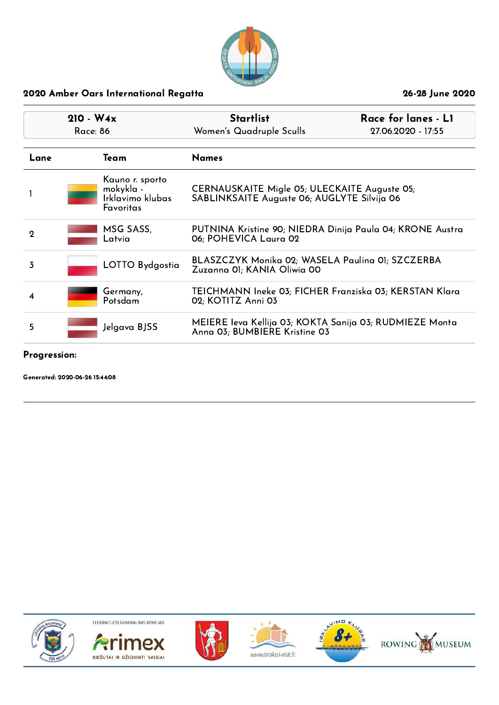

| $210 - W4x$<br><b>Race: 86</b> |  |                                                               | <b>Startlist</b><br>Race for lanes - L1<br>Women's Quadruple Sculls<br>27.06.2020 - 17:55   |  |
|--------------------------------|--|---------------------------------------------------------------|---------------------------------------------------------------------------------------------|--|
| Lane                           |  | Team                                                          | <b>Names</b>                                                                                |  |
|                                |  | Kauno r. sporto<br>mokykla -<br>Irklavimo klubas<br>Favoritas | CERNAUSKAITE Migle 05; ULECKAITE Auguste 05;<br>SABLINKSAITE Auguste 06; AUGLYTE Silvija 06 |  |
| $\mathbf 2$                    |  | MSG SASS,<br>Latvia                                           | PUTNINA Kristine 90; NIEDRA Dinija Paula 04; KRONE Austra<br>06; POHEVICA Laura 02          |  |
| 3                              |  | LOTTO Bydgostia                                               | BLASZCZYK Monika 02; WASELA Paulina 01; SZCZERBA<br>Zuzanna 01; KANIA Oliwia 00             |  |
| 4                              |  | Germany,<br>Potsdam                                           | TEICHMANN Ineke 03; FICHER Franziska 03; KERSTAN Klara<br>02; KOTITZ Anni 03                |  |
| 5                              |  | Jelgava BJSS                                                  | MEIERE Ieva Kellija 03; KOKTA Sanija 03; RUDMIEZE Monta<br>Anna 03; BUMBIERE Kristine 03    |  |
|                                |  |                                                               |                                                                                             |  |

Progression:

Generated: 2020-06-26 15:44:08











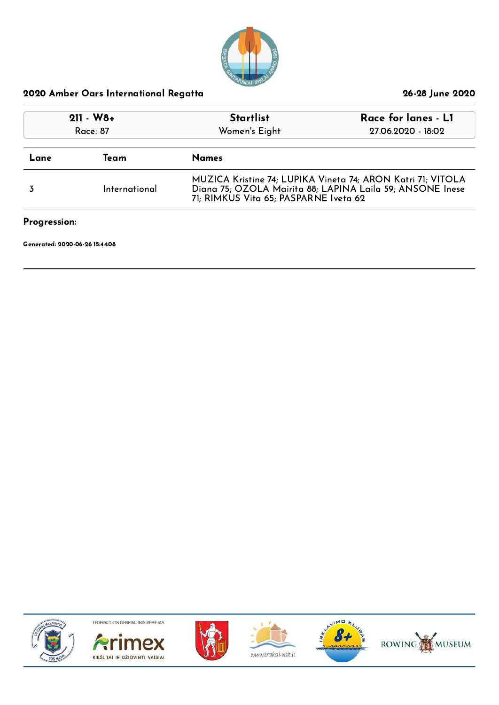

| $211 - W8 +$<br>Race: 87       |                      | Race for lanes - L1<br><b>Startlist</b><br>Women's Eight<br>27.06.2020 - 18:02 |                                                                                                                          |
|--------------------------------|----------------------|--------------------------------------------------------------------------------|--------------------------------------------------------------------------------------------------------------------------|
| Lane                           | <b>Names</b><br>Team |                                                                                |                                                                                                                          |
| International                  |                      | 71; RIMKUS Vita 65; PASPARNE Iveta 62                                          | MUZICA Kristine 74; LUPIKA Vineta 74; ARON Katri 71; VITOLA<br>Diana 75; OZOLA Mairita 88; LAPINA Laila 59; ANSONE Inese |
| Progression:                   |                      |                                                                                |                                                                                                                          |
| Generated: 2020-06-26 15:44:08 |                      |                                                                                |                                                                                                                          |











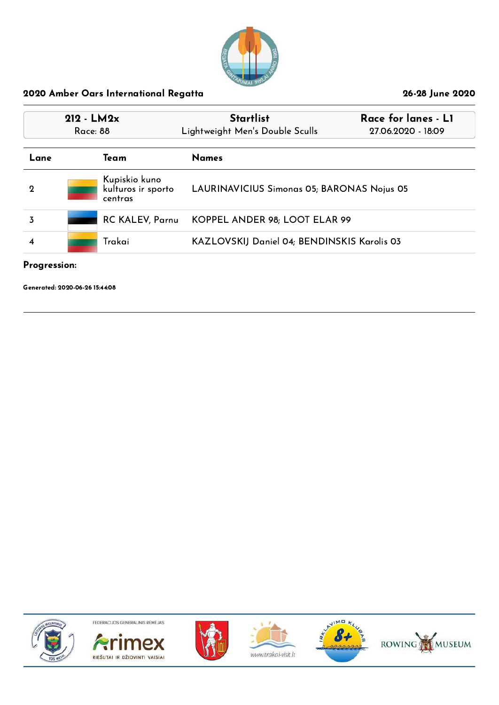

| $212 - LM2x$<br>Race: 88 |  |                                                | <b>Startlist</b><br>Lightweight Men's Double Sculls | Race for lanes - L1<br>27.06.2020 - 18:09 |  |
|--------------------------|--|------------------------------------------------|-----------------------------------------------------|-------------------------------------------|--|
| Lane                     |  | Team                                           | <b>Names</b>                                        |                                           |  |
| $\mathbf 2$              |  | Kupiskio kuno<br>kulturos ir sporto<br>centras | LAURINAVICIUS Simonas 05; BARONAS Nojus 05          |                                           |  |
| 3                        |  | <b>RC KALEV, Parnu</b>                         | KOPPEL ANDER 98; LOOT ELAR 99                       |                                           |  |
| 4                        |  | Trakai                                         | KAZLOVSKIJ Daniel 04; BENDINSKIS Karolis 03         |                                           |  |

### Progression:

Generated: 2020-06-26 15:44:08











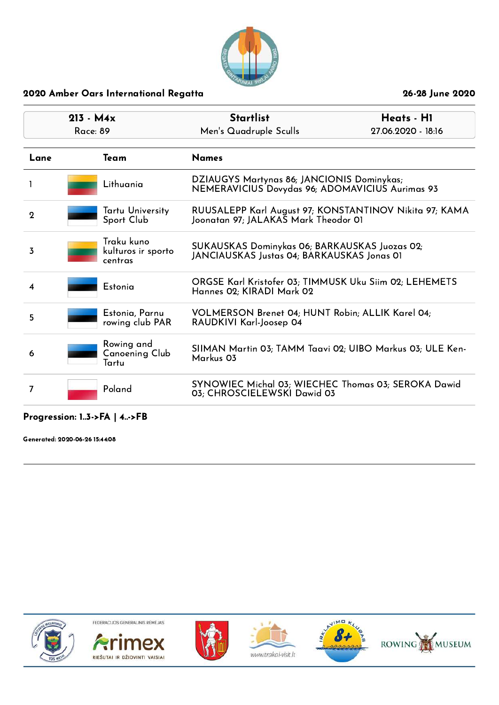

| $213 - M4x$<br>Race: 89 |                                             | <b>Startlist</b><br>Men's Quadruple Sculls                                                     | Heats - H1<br>27.06.2020 - 18:16 |
|-------------------------|---------------------------------------------|------------------------------------------------------------------------------------------------|----------------------------------|
| Lane                    | Team                                        | <b>Names</b>                                                                                   |                                  |
|                         | Lithuania                                   | DZIAUGYS Martynas 86; JANCIONIS Dominykas;<br>NEMERAVICIUS Dovydas 96; ADOMAVICIUS Aurimas 93  |                                  |
| $\mathbf 2$             | Tartu University<br>Sport Club              | RUUSALEPP Karl August 97; KONSTANTINOV Nikita 97; KAMA<br>Joonatan 97; JALAKAS Mark Theodor O1 |                                  |
| 3                       | Traku kuno<br>kulturos ir sporto<br>centras | SUKAUSKAS Dominykas 06; BARKAUSKAS Juozas 02;<br>JANCIAUSKAS Justas 04; BARKAUSKAS Jonas 01    |                                  |
| 4                       | Estonia                                     | ORGSE Karl Kristofer 03; TIMMUSK Uku Siim 02; LEHEMETS<br>Hannes 02; KIRADI Mark 02            |                                  |
| 5                       | Estonia, Parnu<br>rowing club PAR           | VOLMERSON Brenet 04; HUNT Robin; ALLIK Karel 04;<br>RAUDKIVI Karl-Joosep 04                    |                                  |
| 6                       | Rowing and<br>Canoening Club<br>Tartu       | SIIMAN Martin 03; TAMM Taavi 02; UIBO Markus 03; ULE Ken-<br>Markus 03                         |                                  |
| 7                       | Poland                                      | SYNOWIEC Michal 03; WIECHEC Thomas 03; SEROKA Dawid<br>03; CHROSCIELEWSKI Dawid 03             |                                  |

## Progression: 1..3->FA | 4..->FB

Generated: 2020-06-26 15:44:08













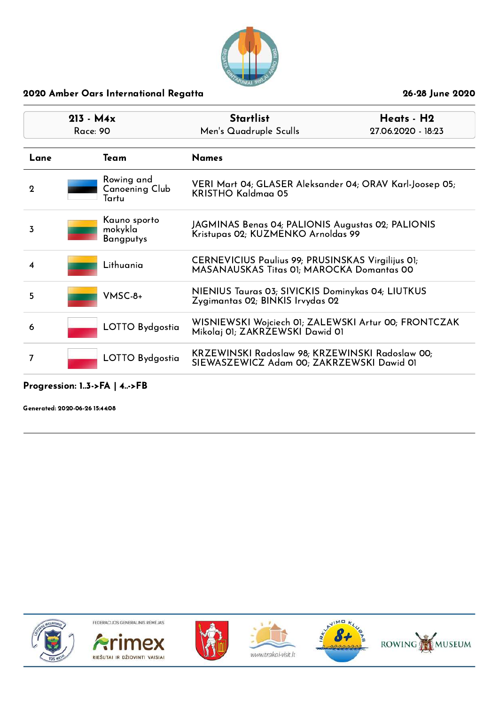

| $213 - M4x$<br>Race: 90 |                                             | <b>Startlist</b><br>Men's Quadruple Sculls                                                     | Heats - H2<br>27.06.2020 - 18:23 |
|-------------------------|---------------------------------------------|------------------------------------------------------------------------------------------------|----------------------------------|
| Lane                    | Team                                        | <b>Names</b>                                                                                   |                                  |
| $\mathbf 2$             | Rowing and<br>Canoening Club<br>Tartu       | VERI Mart 04; GLASER Aleksander 04; ORAV Karl-Joosep 05;<br>KRISTHO Kaldmaa 05                 |                                  |
| 3                       | Kauno sporto<br>mokykla<br><b>Bangputys</b> | JAGMINAS Benas 04; PALIONIS Augustas 02; PALIONIS<br>Kristupas 02; KUZMENKO Arnoldas 99        |                                  |
| 4                       | Lithuania                                   | CERNEVICIUS Paulius 99; PRUSINSKAS Virgilijus 01;<br>MASANAUSKAS Titas 01; MAROCKA Domantas 00 |                                  |
| 5                       | $V$ MSC-8+                                  | NIENIUS Tauras 03; SIVICKIS Dominykas 04; LIUTKUS<br>Zygimantas 02; BINKIS Irvydas 02          |                                  |
| 6                       | LOTTO Bydgostia                             | WISNIEWSKI Wojciech OI; ZALEWSKI Artur 00; FRONTCZAK<br>Mikolaj 01; ZAKRZEWSKI Dawid 01        |                                  |
| 7                       | LOTTO Bydgostia                             | KRZEWINSKI Radoslaw 98; KRZEWINSKI Radoslaw 00;<br>SIEWASZEWICZ Adam 00; ZAKRZEWSKI Dawid 01   |                                  |

## Progression: 1..3->FA | 4..->FB

Generated: 2020-06-26 15:44:08